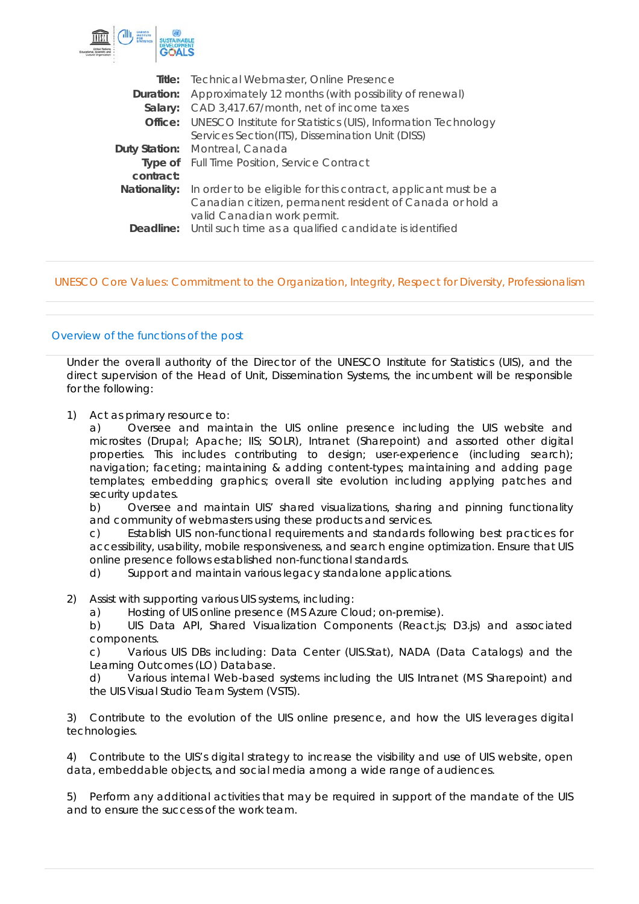

| <b>Title:</b> Technical Webmaster, Online Presence                           |
|------------------------------------------------------------------------------|
| Approximately 12 months (with possibility of renewal)                        |
| CAD 3,417.67/month, net of income taxes                                      |
| <b>Office:</b> UNESCO Institute for Statistics (UIS), Information Technology |
| Services Section(ITS), Dissemination Unit (DISS)                             |
| Montreal, Canada                                                             |
| <b>Type of</b> Full Time Position, Service Contract                          |
|                                                                              |
| In order to be eligible for this contract, applicant must be a               |
| Canadian citizen, permanent resident of Canada or hold a                     |
| valid Canadian work permit.                                                  |
| <b>Deadline:</b> Until such time as a qualified candidate is identified      |
|                                                                              |

### UNESCO Core Values: Commitment to the Organization, Integrity, Respect for Diversity, Professionalism

## Overview of the functions of the post

Under the overall authority of the Director of the UNESCO Institute for Statistics (UIS), and the direct supervision of the Head of Unit, Dissemination Systems, the incumbent will be responsible for the following:

1) Act as primary resource to:

a) Oversee and maintain the UIS online presence including the UIS website and microsites (Drupal; Apache; IIS; SOLR), Intranet (Sharepoint) and assorted other digital properties. This includes contributing to design; user-experience (including search); navigation; faceting; maintaining & adding content-types; maintaining and adding page templates; embedding graphics; overall site evolution including applying patches and security updates.

b) Oversee and maintain UIS' shared visualizations, sharing and pinning functionality and community of webmasters using these products and services.

c) Establish UIS non-functional requirements and standards following best practices for accessibility, usability, mobile responsiveness, and search engine optimization. Ensure that UIS online presence follows established non-functional standards.

d) Support and maintain various legacy standalone applications.

- 2) Assist with supporting various UIS systems, including:
	- a) Hosting of UIS online presence (MS Azure Cloud; on-premise).

b) UIS Data API, Shared Visualization Components (React.js; D3.js) and associated components.

c) Various UIS DBs including: Data Center (UIS.Stat), NADA (Data Catalogs) and the Learning Outcomes (LO) Database.

d) Various internal Web-based systems including the UIS Intranet (MS Sharepoint) and the UIS Visual Studio Team System (VSTS).

3) Contribute to the evolution of the UIS online presence, and how the UIS leverages digital technologies.

4) Contribute to the UIS's digital strategy to increase the visibility and use of UIS website, open data, embeddable objects, and social media among a wide range of audiences.

5) Perform any additional activities that may be required in support of the mandate of the UIS and to ensure the success of the work team.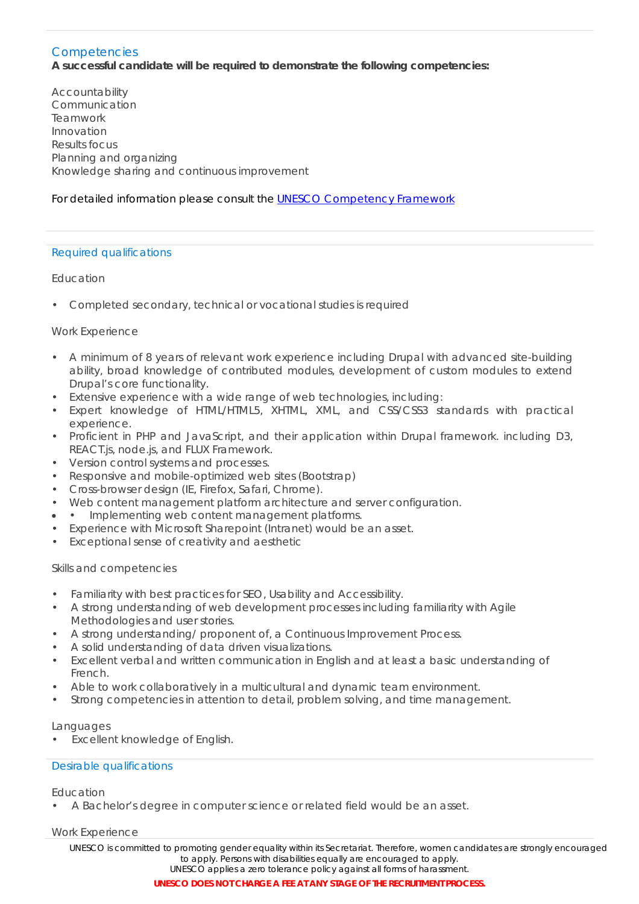#### **Competencies A successful candidate will be required to demonstrate the following competencies:**

Accountability Communication Teamwork Innovation Results focus Planning and organizing Knowledge sharing and continuous improvement

# For detailed information please consult the [UNESCO Competency Framework](https://en.unesco.org/sites/default/files/competency_framework_e.pdf)

# Required qualifications

## Education

• Completed secondary, technical or vocational studies is required

## Work Experience

- A minimum of 8 years of relevant work experience including Drupal with advanced site-building ability, broad knowledge of contributed modules, development of custom modules to extend Drupal's core functionality.
- Extensive experience with a wide range of web technologies, including:
- Expert knowledge of HTML/HTML5, XHTML, XML, and CSS/CSS3 standards with practical experience.
- Proficient in PHP and JavaScript, and their application within Drupal framework. including D3, REACT.js, node.js, and FLUX Framework.
- Version control systems and processes.
- Responsive and mobile-optimized web sites (Bootstrap)
- Cross-browser design (IE, Firefox, Safari, Chrome).
- Web content management platform architecture and server configuration.
- • Implementing web content management platforms.
- Experience with Microsoft Sharepoint (Intranet) would be an asset.
- Exceptional sense of creativity and aesthetic

### Skills and competencies

- Familiarity with best practices for SEO, Usability and Accessibility.
- A strong understanding of web development processes including familiarity with Agile Methodologies and user stories.
- A strong understanding/ proponent of, a Continuous Improvement Process.
- A solid understanding of data driven visualizations.
- Excellent verbal and written communication in English and at least a basic understanding of French.
- Able to work collaboratively in a multicultural and dynamic team environment.
- Strong competencies in attention to detail, problem solving, and time management.

### Languages

• Excellent knowledge of English.

### Desirable qualifications

Education

• A Bachelor's degree in computer science or related field would be an asset.

### Work Experience

*UNESCO is committed to promoting gender equality within its Secretariat. Therefore, women candidates are strongly encouraged to apply. Persons with disabilities equally are encouraged to apply. UNESCO applies a zero tolerance policy against all forms of harassment.*